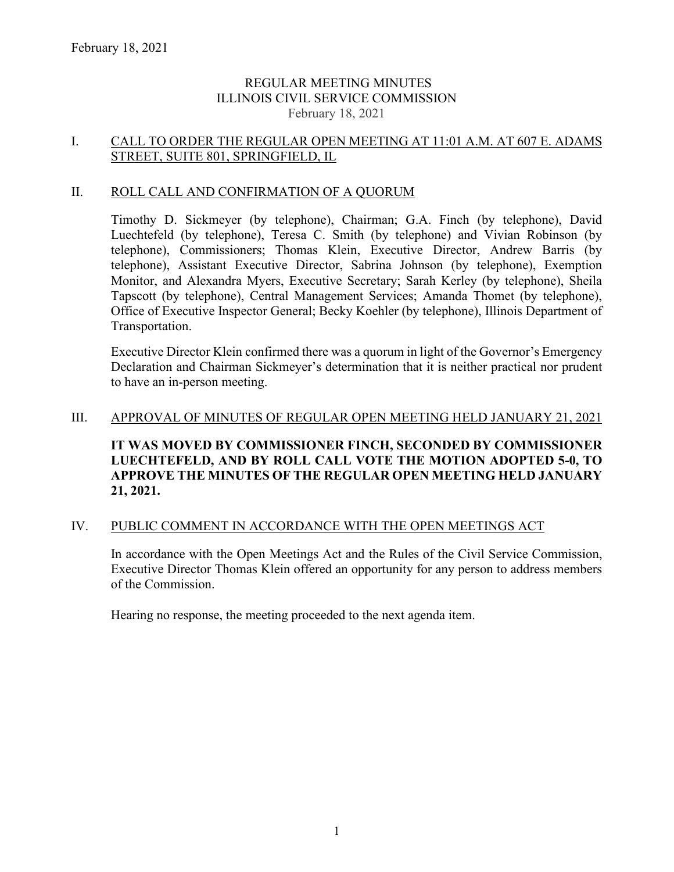# REGULAR MEETING MINUTES ILLINOIS CIVIL SERVICE COMMISSION February 18, 2021

# I. CALL TO ORDER THE REGULAR OPEN MEETING AT 11:01 A.M. AT 607 E. ADAMS STREET, SUITE 801, SPRINGFIELD, IL

## II. ROLL CALL AND CONFIRMATION OF A QUORUM

Timothy D. Sickmeyer (by telephone), Chairman; G.A. Finch (by telephone), David Luechtefeld (by telephone), Teresa C. Smith (by telephone) and Vivian Robinson (by telephone), Commissioners; Thomas Klein, Executive Director, Andrew Barris (by telephone), Assistant Executive Director, Sabrina Johnson (by telephone), Exemption Monitor, and Alexandra Myers, Executive Secretary; Sarah Kerley (by telephone), Sheila Tapscott (by telephone), Central Management Services; Amanda Thomet (by telephone), Office of Executive Inspector General; Becky Koehler (by telephone), Illinois Department of Transportation.

Executive Director Klein confirmed there was a quorum in light of the Governor's Emergency Declaration and Chairman Sickmeyer's determination that it is neither practical nor prudent to have an in-person meeting.

## III. APPROVAL OF MINUTES OF REGULAR OPEN MEETING HELD JANUARY 21, 2021

**IT WAS MOVED BY COMMISSIONER FINCH, SECONDED BY COMMISSIONER LUECHTEFELD, AND BY ROLL CALL VOTE THE MOTION ADOPTED 5-0, TO APPROVE THE MINUTES OF THE REGULAR OPEN MEETING HELD JANUARY 21, 2021.**

### IV. PUBLIC COMMENT IN ACCORDANCE WITH THE OPEN MEETINGS ACT

In accordance with the Open Meetings Act and the Rules of the Civil Service Commission, Executive Director Thomas Klein offered an opportunity for any person to address members of the Commission.

Hearing no response, the meeting proceeded to the next agenda item.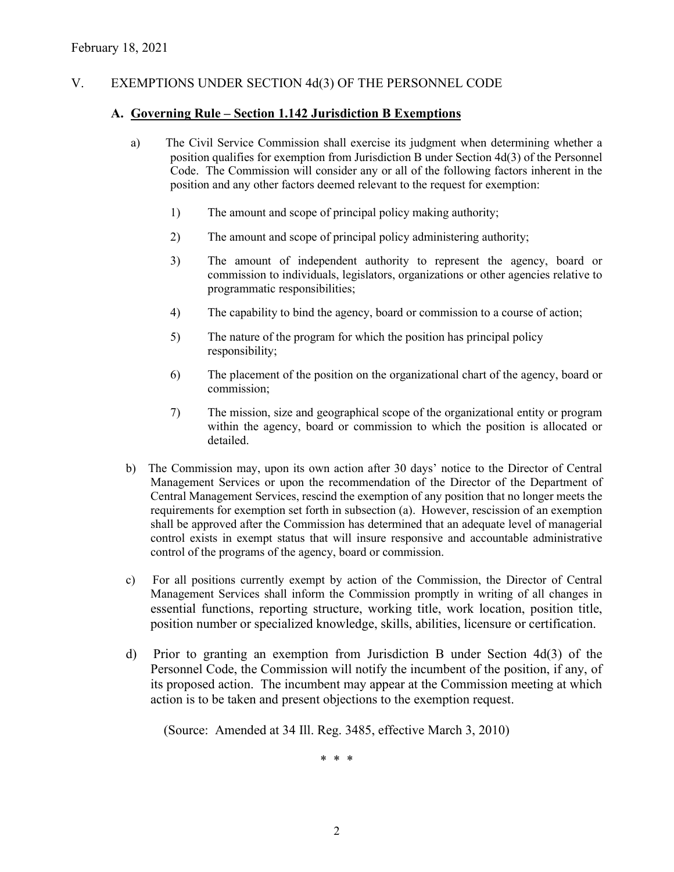# V. EXEMPTIONS UNDER SECTION 4d(3) OF THE PERSONNEL CODE

## **A. Governing Rule – Section 1.142 Jurisdiction B Exemptions**

- a) The Civil Service Commission shall exercise its judgment when determining whether a position qualifies for exemption from Jurisdiction B under Section 4d(3) of the Personnel Code. The Commission will consider any or all of the following factors inherent in the position and any other factors deemed relevant to the request for exemption:
	- 1) The amount and scope of principal policy making authority;
	- 2) The amount and scope of principal policy administering authority;
	- 3) The amount of independent authority to represent the agency, board or commission to individuals, legislators, organizations or other agencies relative to programmatic responsibilities;
	- 4) The capability to bind the agency, board or commission to a course of action;
	- 5) The nature of the program for which the position has principal policy responsibility;
	- 6) The placement of the position on the organizational chart of the agency, board or commission;
	- 7) The mission, size and geographical scope of the organizational entity or program within the agency, board or commission to which the position is allocated or detailed.
- b) The Commission may, upon its own action after 30 days' notice to the Director of Central Management Services or upon the recommendation of the Director of the Department of Central Management Services, rescind the exemption of any position that no longer meets the requirements for exemption set forth in subsection (a). However, rescission of an exemption shall be approved after the Commission has determined that an adequate level of managerial control exists in exempt status that will insure responsive and accountable administrative control of the programs of the agency, board or commission.
- c) For all positions currently exempt by action of the Commission, the Director of Central Management Services shall inform the Commission promptly in writing of all changes in essential functions, reporting structure, working title, work location, position title, position number or specialized knowledge, skills, abilities, licensure or certification.
- d) Prior to granting an exemption from Jurisdiction B under Section 4d(3) of the Personnel Code, the Commission will notify the incumbent of the position, if any, of its proposed action. The incumbent may appear at the Commission meeting at which action is to be taken and present objections to the exemption request.

(Source: Amended at 34 Ill. Reg. 3485, effective March 3, 2010)

\* \* \*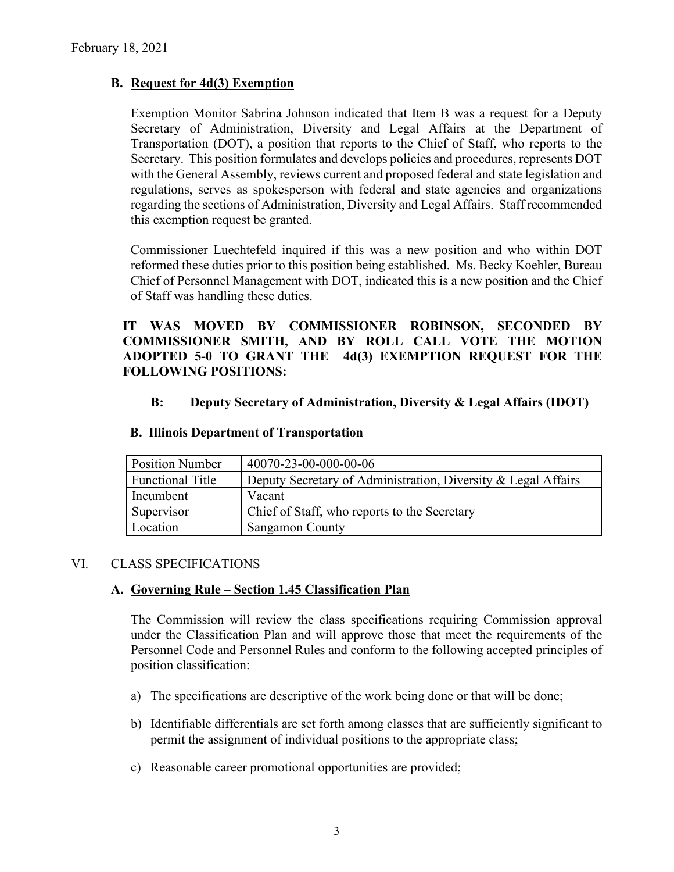# **B. Request for 4d(3) Exemption**

Exemption Monitor Sabrina Johnson indicated that Item B was a request for a Deputy Secretary of Administration, Diversity and Legal Affairs at the Department of Transportation (DOT), a position that reports to the Chief of Staff, who reports to the Secretary. This position formulates and develops policies and procedures, represents DOT with the General Assembly, reviews current and proposed federal and state legislation and regulations, serves as spokesperson with federal and state agencies and organizations regarding the sections of Administration, Diversity and Legal Affairs. Staff recommended this exemption request be granted.

Commissioner Luechtefeld inquired if this was a new position and who within DOT reformed these duties prior to this position being established. Ms. Becky Koehler, Bureau Chief of Personnel Management with DOT, indicated this is a new position and the Chief of Staff was handling these duties.

**IT WAS MOVED BY COMMISSIONER ROBINSON, SECONDED BY COMMISSIONER SMITH, AND BY ROLL CALL VOTE THE MOTION ADOPTED 5-0 TO GRANT THE 4d(3) EXEMPTION REQUEST FOR THE FOLLOWING POSITIONS:**

### **B: Deputy Secretary of Administration, Diversity & Legal Affairs (IDOT)**

| <b>Position Number</b> | 40070-23-00-000-00-06                                         |
|------------------------|---------------------------------------------------------------|
| Functional Title       | Deputy Secretary of Administration, Diversity & Legal Affairs |
| Incumbent              | Vacant                                                        |
| Supervisor             | Chief of Staff, who reports to the Secretary                  |
| Location               | <b>Sangamon County</b>                                        |

#### **B. Illinois Department of Transportation**

### VI. CLASS SPECIFICATIONS

### **A. Governing Rule – Section 1.45 Classification Plan**

The Commission will review the class specifications requiring Commission approval under the Classification Plan and will approve those that meet the requirements of the Personnel Code and Personnel Rules and conform to the following accepted principles of position classification:

- a) The specifications are descriptive of the work being done or that will be done;
- b) Identifiable differentials are set forth among classes that are sufficiently significant to permit the assignment of individual positions to the appropriate class;
- c) Reasonable career promotional opportunities are provided;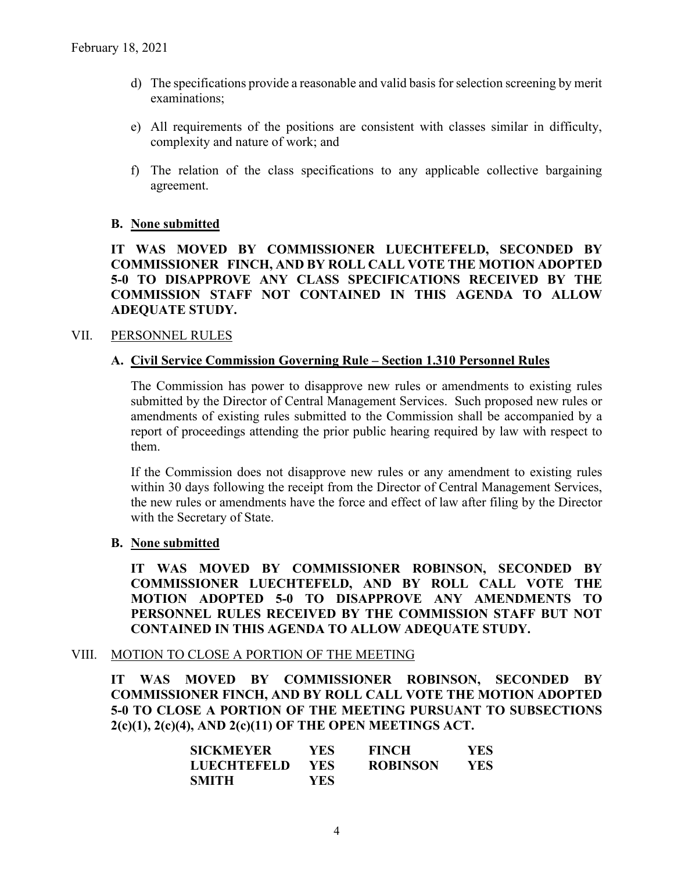- d) The specifications provide a reasonable and valid basis for selection screening by merit examinations;
- e) All requirements of the positions are consistent with classes similar in difficulty, complexity and nature of work; and
- f) The relation of the class specifications to any applicable collective bargaining agreement.

## **B. None submitted**

# **IT WAS MOVED BY COMMISSIONER LUECHTEFELD, SECONDED BY COMMISSIONER FINCH, AND BY ROLL CALL VOTE THE MOTION ADOPTED 5-0 TO DISAPPROVE ANY CLASS SPECIFICATIONS RECEIVED BY THE COMMISSION STAFF NOT CONTAINED IN THIS AGENDA TO ALLOW ADEQUATE STUDY.**

### VII. PERSONNEL RULES

### **A. Civil Service Commission Governing Rule – Section 1.310 Personnel Rules**

The Commission has power to disapprove new rules or amendments to existing rules submitted by the Director of Central Management Services. Such proposed new rules or amendments of existing rules submitted to the Commission shall be accompanied by a report of proceedings attending the prior public hearing required by law with respect to them.

If the Commission does not disapprove new rules or any amendment to existing rules within 30 days following the receipt from the Director of Central Management Services, the new rules or amendments have the force and effect of law after filing by the Director with the Secretary of State.

### **B. None submitted**

**IT WAS MOVED BY COMMISSIONER ROBINSON, SECONDED BY COMMISSIONER LUECHTEFELD, AND BY ROLL CALL VOTE THE MOTION ADOPTED 5-0 TO DISAPPROVE ANY AMENDMENTS TO PERSONNEL RULES RECEIVED BY THE COMMISSION STAFF BUT NOT CONTAINED IN THIS AGENDA TO ALLOW ADEQUATE STUDY.** 

#### VIII. MOTION TO CLOSE A PORTION OF THE MEETING

**IT WAS MOVED BY COMMISSIONER ROBINSON, SECONDED BY COMMISSIONER FINCH, AND BY ROLL CALL VOTE THE MOTION ADOPTED 5-0 TO CLOSE A PORTION OF THE MEETING PURSUANT TO SUBSECTIONS 2(c)(1), 2(c)(4), AND 2(c)(11) OF THE OPEN MEETINGS ACT.**

| <b>SICKMEYER</b>   | YES. | <b>FINCH</b>    | YES. |
|--------------------|------|-----------------|------|
| <b>LUECHTEFELD</b> | YES. | <b>ROBINSON</b> | YES. |
| <b>SMITH</b>       | YES. |                 |      |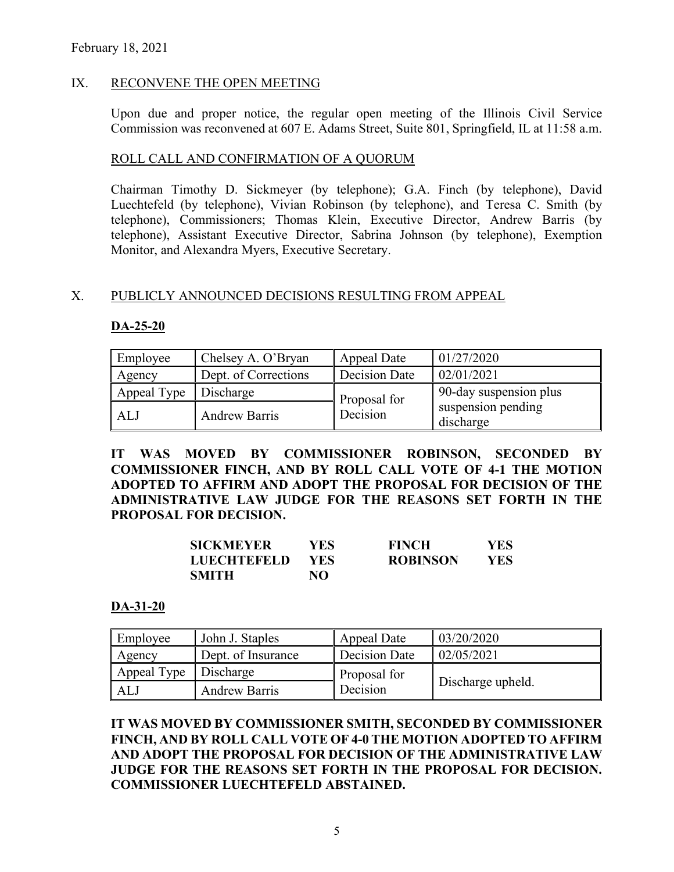# IX. RECONVENE THE OPEN MEETING

Upon due and proper notice, the regular open meeting of the Illinois Civil Service Commission was reconvened at 607 E. Adams Street, Suite 801, Springfield, IL at 11:58 a.m.

### ROLL CALL AND CONFIRMATION OF A QUORUM

Chairman Timothy D. Sickmeyer (by telephone); G.A. Finch (by telephone), David Luechtefeld (by telephone), Vivian Robinson (by telephone), and Teresa C. Smith (by telephone), Commissioners; Thomas Klein, Executive Director, Andrew Barris (by telephone), Assistant Executive Director, Sabrina Johnson (by telephone), Exemption Monitor, and Alexandra Myers, Executive Secretary.

## X. PUBLICLY ANNOUNCED DECISIONS RESULTING FROM APPEAL

## **DA-25-20**

| Employee    | Chelsey A. O'Bryan   | Appeal Date   | 01/27/2020                      |
|-------------|----------------------|---------------|---------------------------------|
| Agency      | Dept. of Corrections | Decision Date | 02/01/2021                      |
| Appeal Type | Discharge            | Proposal for  | 90-day suspension plus          |
| ALJ         | <b>Andrew Barris</b> | Decision      | suspension pending<br>discharge |

**IT WAS MOVED BY COMMISSIONER ROBINSON, SECONDED BY COMMISSIONER FINCH, AND BY ROLL CALL VOTE OF 4-1 THE MOTION ADOPTED TO AFFIRM AND ADOPT THE PROPOSAL FOR DECISION OF THE ADMINISTRATIVE LAW JUDGE FOR THE REASONS SET FORTH IN THE PROPOSAL FOR DECISION.** 

| SICKMEYER   | YES.       | <b>FINCH</b>    | <b>YES</b> |
|-------------|------------|-----------------|------------|
| LUECHTEFELD | <b>YES</b> | <b>ROBINSON</b> | <b>YES</b> |
| SMITH       | NΟ         |                 |            |

### **DA-31-20**

| Employee    | John J. Staples      | Appeal Date   | 03/20/2020        |
|-------------|----------------------|---------------|-------------------|
| Agency      | Dept. of Insurance   | Decision Date | 02/05/2021        |
| Appeal Type | Discharge            | Proposal for  |                   |
| ALJ         | <b>Andrew Barris</b> | Decision      | Discharge upheld. |

**IT WAS MOVED BY COMMISSIONER SMITH, SECONDED BY COMMISSIONER FINCH, AND BY ROLL CALL VOTE OF 4-0 THE MOTION ADOPTED TO AFFIRM AND ADOPT THE PROPOSAL FOR DECISION OF THE ADMINISTRATIVE LAW JUDGE FOR THE REASONS SET FORTH IN THE PROPOSAL FOR DECISION. COMMISSIONER LUECHTEFELD ABSTAINED.**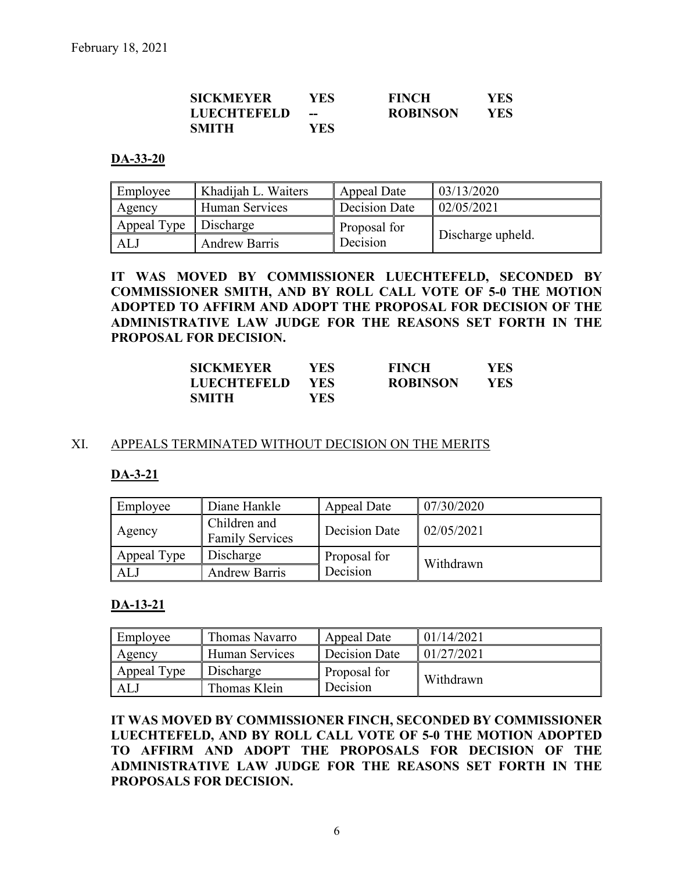| SICKMEYER   | YES | <b>FINCH</b>    | <b>YES</b> |
|-------------|-----|-----------------|------------|
| LUECHTEFELD | --  | <b>ROBINSON</b> | <b>YES</b> |
| SMITH       | YES |                 |            |

### **DA-33-20**

| Employee    | Khadijah L. Waiters  | Appeal Date          | 03/13/2020        |
|-------------|----------------------|----------------------|-------------------|
| Agency      | Human Services       | <b>Decision Date</b> | 02/05/2021        |
| Appeal Type | Discharge            | Proposal for         |                   |
| ALJ         | <b>Andrew Barris</b> | Decision             | Discharge upheld. |

**IT WAS MOVED BY COMMISSIONER LUECHTEFELD, SECONDED BY COMMISSIONER SMITH, AND BY ROLL CALL VOTE OF 5-0 THE MOTION ADOPTED TO AFFIRM AND ADOPT THE PROPOSAL FOR DECISION OF THE ADMINISTRATIVE LAW JUDGE FOR THE REASONS SET FORTH IN THE PROPOSAL FOR DECISION.** 

| <b>SICKMEYER</b>   | YES. | <b>FINCH</b>    | <b>YES</b> |
|--------------------|------|-----------------|------------|
| <b>LUECHTEFELD</b> | YES- | <b>ROBINSON</b> | YES        |
| <b>SMITH</b>       | YES. |                 |            |

### XI. APPEALS TERMINATED WITHOUT DECISION ON THE MERITS

#### **DA-3-21**

| Employee    | Diane Hankle                           | Appeal Date   | 07/30/2020 |
|-------------|----------------------------------------|---------------|------------|
| Agency      | Children and<br><b>Family Services</b> | Decision Date | 02/05/2021 |
| Appeal Type | Discharge                              | Proposal for  | Withdrawn  |
| ALJ         | <b>Andrew Barris</b>                   | Decision      |            |

### **DA-13-21**

| Employee    | Thomas Navarro | Appeal Date   | 01/14/2021 |
|-------------|----------------|---------------|------------|
| Agency      | Human Services | Decision Date | 01/27/2021 |
| Appeal Type | Discharge      | Proposal for  | Withdrawn  |
| AL.         | Thomas Klein   | Decision      |            |

**IT WAS MOVED BY COMMISSIONER FINCH, SECONDED BY COMMISSIONER LUECHTEFELD, AND BY ROLL CALL VOTE OF 5-0 THE MOTION ADOPTED TO AFFIRM AND ADOPT THE PROPOSALS FOR DECISION OF THE ADMINISTRATIVE LAW JUDGE FOR THE REASONS SET FORTH IN THE PROPOSALS FOR DECISION.**